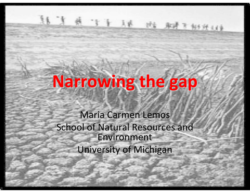# **Narrowing the gap**

 $A$   $I$   $I$   $A$   $B$   $B$   $B$   $B$   $B$   $C$   $D$ 

Maria Carmen Lemos School of Natural Resources and EnvironmentUniversity of Michigan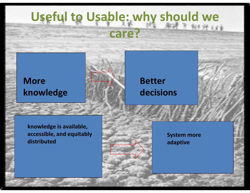## **Useful to Usable: why should we care?**

#### **More knowledge**



### **Better decisions**

**knowledge is available, accessible, and equitably distributed**



**System more adaptive**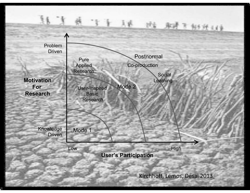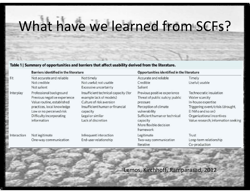## What have we learned from SCFs?

#### Table 1 | Summary of opportunities and barriers that affect usability derived from the literature.

|             | <b>Barriers identified in the literature</b>                                                                                                                                               |                                                                                                                                                                                      | Opportunities identified in the literature                                                                                                                                                                |                                                                                                                                                                                                |  |
|-------------|--------------------------------------------------------------------------------------------------------------------------------------------------------------------------------------------|--------------------------------------------------------------------------------------------------------------------------------------------------------------------------------------|-----------------------------------------------------------------------------------------------------------------------------------------------------------------------------------------------------------|------------------------------------------------------------------------------------------------------------------------------------------------------------------------------------------------|--|
| Fit         | Not accurate and reliable<br>Not credible<br>Not salient                                                                                                                                   | Nottimely<br>Not useful; not usable<br>Excessive uncertainty                                                                                                                         | Accurate and reliable<br>Credible<br>Salient                                                                                                                                                              | Timely<br>Useful; usable                                                                                                                                                                       |  |
| Interplay   | Professional background<br>Previous negative experience<br>Value routine, established<br>practices, local knowledge<br>Low or no perceived risk<br>Difficulty incorporating<br>information | Insufficient technical capacity (for<br>example lack of models)<br>Culture of risk aversion<br>Insufficient human or financial<br>capacity<br>Legal or similar<br>Lack of discretion | Previous positive experience<br>Threat of public outcry; public<br>pressure<br>Perception of climate<br>vulnerability<br>Sufficient human or technical<br>capacity<br>More flexible decision<br>framework | Technocratic insulation<br>Water scarcity<br>In-house expertise<br>Triggering event/crisis (drought,<br>El Niño and so on)<br>Organizational incentives<br>Value research; information seeking |  |
| Interaction | Not legitimate<br>One-way communication                                                                                                                                                    | Infrequent interaction<br>End-user relationship                                                                                                                                      | Legitimate<br>Two-way communication<br>Iterative                                                                                                                                                          | Trust<br>Long-term relationship<br>Co-production                                                                                                                                               |  |

Lemos, Kirchhoff, Ramparasad, 2012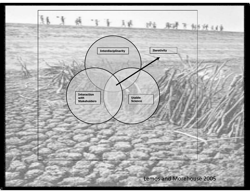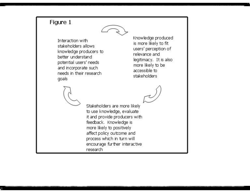#### Figure 1



Interaction with stakeholders allows knowledge producers to better understand potential users' needs and incorporate such needs in their research goals

Knowledge produced is more likely to fit users' perception of relevance and legitimacy. It is also more likely to be accessible to stakeholders

Stakeholders are more likely to use knowledge, evaluate it and provide producers with feedback. Knowledge is more likely to positively affect policy outcome and process which in turn will encourage further interactive research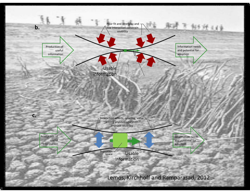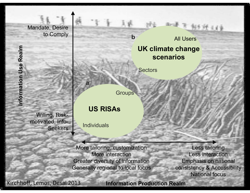#### Mandate, Desire to Comply

Willing, Riskmotivated, Info-**Seekers** 

**IDK climate change**<br> **IDK climate change**<br> **ISPN CREAMPLE SECTORS**<br>
Groups All Users

**Sectors** 

**Groups** 

**b**

#### **US RISAs**

Individuals

**a**

More tailoring, customizationMore interaction Greater diversity of informationGenerally regional to local focus

Less tailoring Less interaction Emphasis on national consistency & AccessibilityNational focus

医黄昏

Kirchhoff, Lemos, Desai 2013

**Information Production Realm**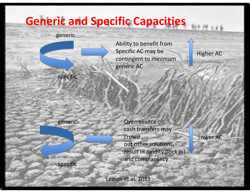### **Generic and Specific Capacities**

#### generic



specific

Ability to benefit from Specific AC may be contingent to minimum generic AC

Higher AC

generic

specific

Overreliance on cash transfers may crowd out other solutions, result in rigidity (lock in) and complacency

Lower AC

Lemos et al. 2013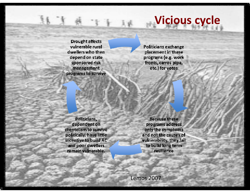## **Vicious cycle**

**Drought affects** vulnerable rural dwellers who then depend on state sponsored risk management programs to survive

**Politicians exchange** placement in these programs (e.g. work fronts, carros pipa, etc.) for votes

Politicians, dependent on clientelism to survive politically, have little incentive to build AC and poor dwellers remain vulnerable.

**Because these** programs address only the symptoms and not the causes of vulnerability, they fail to build long term resilience

Lemos <sup>2007</sup>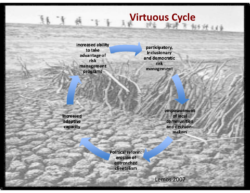### **Virtuous Cycle**

一天天空

increased ability to take advantage of risk management programs

participatory, inclusionary and democratic risk management

increased adaptive capacity

empowerment of local **communities** and decisionmakers

Political reform: erosion of entrenched clientelism

Lemos <sup>2007</sup>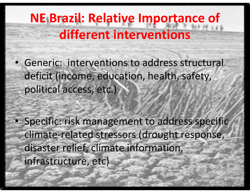## **NE Brazil: Relative Importance of different interventions**

• Generic: interventions to address structural deficit (income, education, health, safety, political access, etc.)

• Specific: risk management to address specific climate-related stressors (drought response, disaster relief, climate information, infrastructure, etc)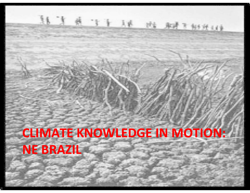# **CLIMATE KNOWLEDGE IN MOTION: NE BRAZIL**

十球

球 新

下射线线束

美島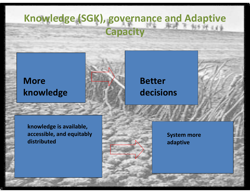### **Knowledge (SGK), governance and Adaptive Capacity**

### **More knowledge**



#### **Better decisions**

**knowledge is available, accessible, and equitably distributed**



**System more adaptive**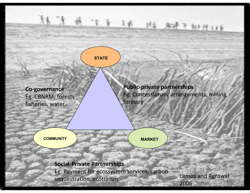#### **STATE**

**Co-governance** Eg. CBNRM; forests fisheries, water

**Public-private partnerships** Eg. Concessionary arrangements, mining, forestry

**COMMUNITY**

**MARKET**

**Social-Private Partnerships** Eg. Payment for ecossystem services, carbon sequestration, ecoturism

Lemos and Agrawal 2006

经过量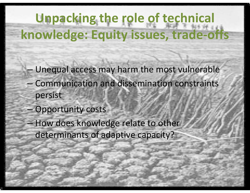## **Unpacking the role of technical knowledge: Equity issues, trade-offs**

- Unequal access may harm the most vulnerable
- Communication and dissemination constraints persist
- –Opportunity costs
- How does knowledge relate to other determinants of adaptive capacity?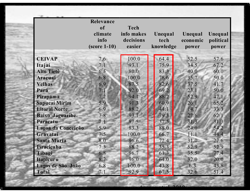|                        | Relevance                               |                                                  |                              |                              |                               |
|------------------------|-----------------------------------------|--------------------------------------------------|------------------------------|------------------------------|-------------------------------|
|                        | of<br>climate<br>info<br>$(score 1-10)$ | <b>Tech</b><br>info makes<br>decisions<br>easier | Unequal<br>tech<br>knowledge | Unequal<br>economic<br>power | Unequal<br>political<br>power |
| <b>CEIVAP</b>          | 7.6                                     | 100.0                                            | 64.4                         | 52.5                         | 57.6                          |
| Itajaí                 | 7.1                                     | 93.1                                             | 75.9                         | 34.5                         | 67.2                          |
| <b>Alto Tietê</b>      | 6.5                                     | 80.0                                             | 83.3                         | 40.0                         | 60.0                          |
| Araçuaí                | 6.8                                     | 100.0                                            | 78.6                         | 35.7                         | 50.0                          |
| <b>Velhas</b>          | 6.9                                     | 87.5                                             | 82.6                         | 37.5                         | 41.7                          |
| Pará                   | 7.1                                     | 92.0                                             | 69.2                         | 23.1                         | 50.0                          |
| Pirapama               | 7.2                                     | 94.1                                             | 88.2                         | 52.9                         | 47.1                          |
| <b>Sapucaí Mirim</b>   | 5.9                                     | 91.3                                             | 60.9                         | 26.1                         | 65.2                          |
| <b>Litoral Norte</b>   | 6.9                                     | 88.2                                             | 44.1                         | 14.7                         | 33.3                          |
| <b>Baixo Jaguaribe</b> | 7.8                                     | 93.1                                             | 79.3                         | 27.6                         | 62.1                          |
| Paracatu               | 7.1                                     | 87.5                                             | 37.5                         | 31.3                         | 31.3                          |
| Lagoa da Conceição     | 5.9                                     | 83.3                                             | 88.0                         | 24.0                         | 54.2                          |
| Gravataí               | 7.5                                     | 100.0                                            | 66.7                         | 11.1                         | 44.4                          |
| <b>Santa Maria</b>     | 8.0                                     | 96.6                                             | 72.4                         | 31.0                         | 27.6                          |
| Piracicaba             | 7.3                                     | 88.2                                             | 35.3                         | 52.9                         | 52.9                          |
| Tibagi                 | 6.8                                     | 96.7                                             | 61.3                         | 35.5                         | 77.4                          |
| Itapicuru              | 8.2                                     | 96.0                                             | 64.0                         | 32.0                         | 20.0                          |
| Lagos de São João      | 6.8                                     | 100.0                                            | 43.8                         | 6.3                          | 43.8                          |
| <b>Total</b>           | 7.1                                     | 92.9                                             | 67.5                         | 32.6                         | 51.4                          |

**Lemons** 

et al. 2010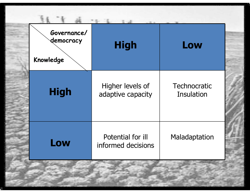| Governance/<br>democracy<br>Knowledge | <b>High</b>                             | Low                               |
|---------------------------------------|-----------------------------------------|-----------------------------------|
| <b>High</b>                           | Higher levels of<br>adaptive capacity   | Technocratic<br><b>Insulation</b> |
| Low                                   | Potential for ill<br>informed decisions | Maladaptation                     |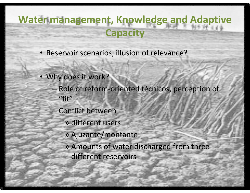### **Water management, Knowledge and Adaptive Capacity**

- Reservoir scenarios; illusion of relevance?
- Why does it work?
	- Role of reform-oriented técnicos, perception of "fit"
	- – Conflict between
		- » different users
		- » Ajuzante/montante
		- » Amounts of water discharged from three different reservoirs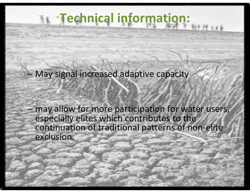## **Technical information:**

May signal increased adaptive capacity

 may allow for more participation for water users, especially elites which contributes to the continuation of traditional patterns of non-elite exclusion.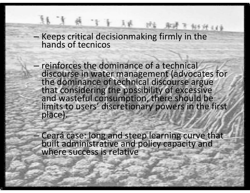# Keeps critical decisionmaking firmly in the hands of tecnicos

主主王

–

- reinforces the dominance of a technical<br>discourse in water management (advect discourse in water management (advocates for<br>the dominance of technical discourse argue<br>that considering the possibility of excessive<br>and wasteful consumption, there should be<br>limits to users' discretionary powers in the f
- Ceará case: long and steep learning curve that built administrative and policy capacity and where success is relative